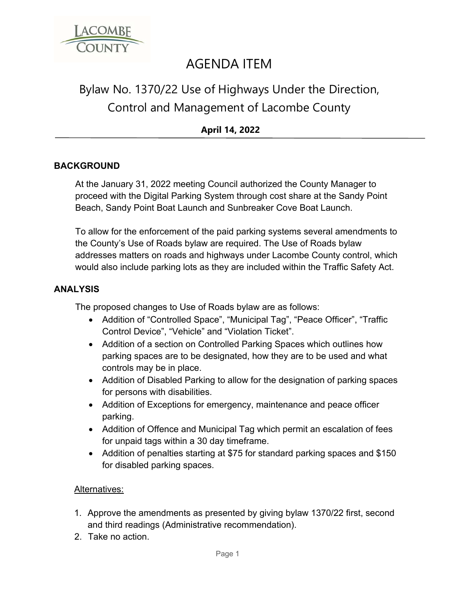

## AGENDA ITEM

# Bylaw No. 1370/22 Use of Highways Under the Direction, Control and Management of Lacombe County

## **April 14, 2022**

### **BACKGROUND**

At the January 31, 2022 meeting Council authorized the County Manager to proceed with the Digital Parking System through cost share at the Sandy Point Beach, Sandy Point Boat Launch and Sunbreaker Cove Boat Launch.

To allow for the enforcement of the paid parking systems several amendments to the County's Use of Roads bylaw are required. The Use of Roads bylaw addresses matters on roads and highways under Lacombe County control, which would also include parking lots as they are included within the Traffic Safety Act.

#### **ANALYSIS**

The proposed changes to Use of Roads bylaw are as follows:

- Addition of "Controlled Space", "Municipal Tag", "Peace Officer", "Traffic Control Device", "Vehicle" and "Violation Ticket".
- Addition of a section on Controlled Parking Spaces which outlines how parking spaces are to be designated, how they are to be used and what controls may be in place.
- Addition of Disabled Parking to allow for the designation of parking spaces for persons with disabilities.
- Addition of Exceptions for emergency, maintenance and peace officer parking.
- Addition of Offence and Municipal Tag which permit an escalation of fees for unpaid tags within a 30 day timeframe.
- Addition of penalties starting at \$75 for standard parking spaces and \$150 for disabled parking spaces.

#### Alternatives:

- 1. Approve the amendments as presented by giving bylaw 1370/22 first, second and third readings (Administrative recommendation).
- 2. Take no action.